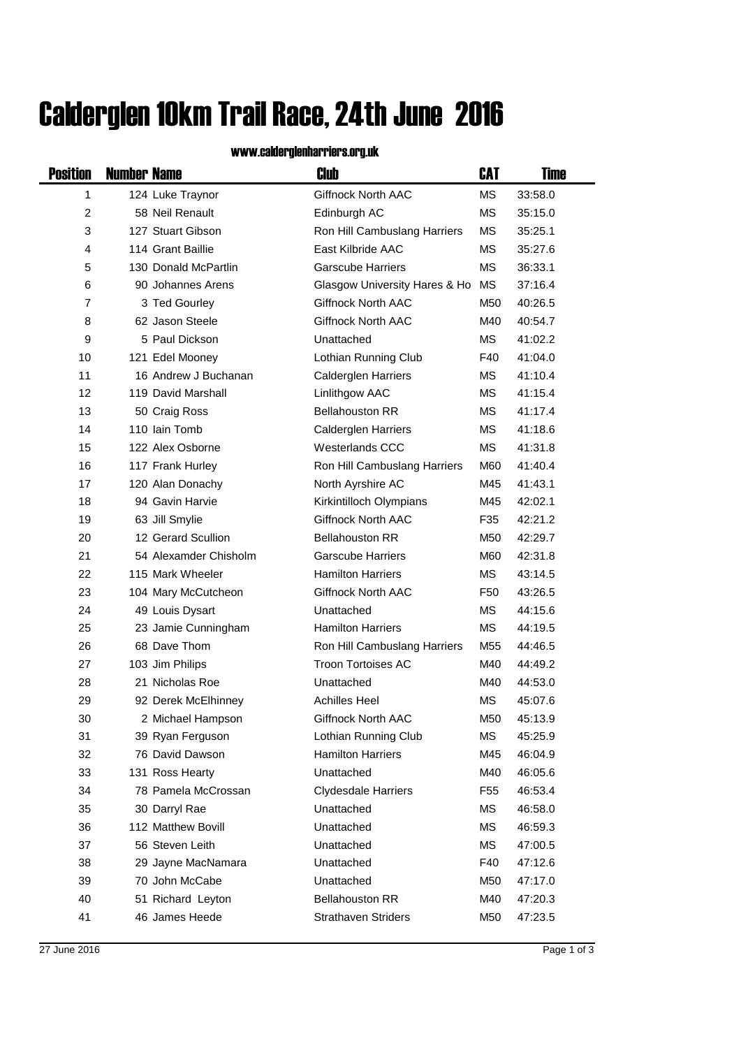## Calderglen 10km Trail Race, 24th June 2016

## www.calderglenharriers.org.uk

| <b>Position</b> | <b>Number Name</b> |                       | Club                          | CAT             | Time    |
|-----------------|--------------------|-----------------------|-------------------------------|-----------------|---------|
| 1               |                    | 124 Luke Traynor      | <b>Giffnock North AAC</b>     | <b>MS</b>       | 33:58.0 |
| $\overline{c}$  |                    | 58 Neil Renault       | Edinburgh AC                  | <b>MS</b>       | 35:15.0 |
| 3               |                    | 127 Stuart Gibson     | Ron Hill Cambuslang Harriers  | МS              | 35:25.1 |
| 4               |                    | 114 Grant Baillie     | East Kilbride AAC             | МS              | 35:27.6 |
| 5               |                    | 130 Donald McPartlin  | <b>Garscube Harriers</b>      | MS              | 36:33.1 |
| 6               |                    | 90 Johannes Arens     | Glasgow University Hares & Ho | MS              | 37:16.4 |
| $\overline{7}$  |                    | 3 Ted Gourley         | Giffnock North AAC            | M50             | 40:26.5 |
| 8               |                    | 62 Jason Steele       | <b>Giffnock North AAC</b>     | M40             | 40:54.7 |
| 9               |                    | 5 Paul Dickson        | Unattached                    | МS              | 41:02.2 |
| 10              |                    | 121 Edel Mooney       | Lothian Running Club          | F40             | 41:04.0 |
| 11              |                    | 16 Andrew J Buchanan  | <b>Calderglen Harriers</b>    | МS              | 41:10.4 |
| 12              |                    | 119 David Marshall    | Linlithgow AAC                | MS              | 41:15.4 |
| 13              |                    | 50 Craig Ross         | <b>Bellahouston RR</b>        | МS              | 41:17.4 |
| 14              |                    | 110 Iain Tomb         | Calderglen Harriers           | МS              | 41:18.6 |
| 15              |                    | 122 Alex Osborne      | Westerlands CCC               | МS              | 41:31.8 |
| 16              |                    | 117 Frank Hurley      | Ron Hill Cambuslang Harriers  | M60             | 41:40.4 |
| 17              |                    | 120 Alan Donachy      | North Ayrshire AC             | M45             | 41:43.1 |
| 18              |                    | 94 Gavin Harvie       | Kirkintilloch Olympians       | M45             | 42:02.1 |
| 19              |                    | 63 Jill Smylie        | Giffnock North AAC            | F35             | 42:21.2 |
| 20              |                    | 12 Gerard Scullion    | <b>Bellahouston RR</b>        | M50             | 42:29.7 |
| 21              |                    | 54 Alexamder Chisholm | <b>Garscube Harriers</b>      | M60             | 42:31.8 |
| 22              |                    | 115 Mark Wheeler      | <b>Hamilton Harriers</b>      | МS              | 43:14.5 |
| 23              |                    | 104 Mary McCutcheon   | Giffnock North AAC            | F <sub>50</sub> | 43:26.5 |
| 24              |                    | 49 Louis Dysart       | Unattached                    | МS              | 44:15.6 |
| 25              |                    | 23 Jamie Cunningham   | <b>Hamilton Harriers</b>      | MS              | 44:19.5 |
| 26              |                    | 68 Dave Thom          | Ron Hill Cambuslang Harriers  | M55             | 44:46.5 |
| 27              |                    | 103 Jim Philips       | <b>Troon Tortoises AC</b>     | M40             | 44:49.2 |
| 28              |                    | 21 Nicholas Roe       | Unattached                    | M40             | 44:53.0 |
| 29              |                    | 92 Derek McElhinney   | <b>Achilles Heel</b>          | MS              | 45:07.6 |
| 30              |                    | 2 Michael Hampson     | Giffnock North AAC            | M50             | 45:13.9 |
| 31              |                    | 39 Ryan Ferguson      | Lothian Running Club          | МS              | 45:25.9 |
| 32              |                    | 76 David Dawson       | <b>Hamilton Harriers</b>      | M45             | 46:04.9 |
| 33              |                    | 131 Ross Hearty       | Unattached                    | M40             | 46:05.6 |
| 34              |                    | 78 Pamela McCrossan   | <b>Clydesdale Harriers</b>    | F55             | 46:53.4 |
| 35              |                    | 30 Darryl Rae         | Unattached                    | МS              | 46:58.0 |
| 36              |                    | 112 Matthew Bovill    | Unattached                    | МS              | 46:59.3 |
| 37              |                    | 56 Steven Leith       | Unattached                    | ΜS              | 47:00.5 |
| 38              |                    | 29 Jayne MacNamara    | Unattached                    | F40             | 47:12.6 |
| 39              |                    | 70 John McCabe        | Unattached                    | M50             | 47:17.0 |
| 40              |                    | 51 Richard Leyton     | <b>Bellahouston RR</b>        | M40             | 47:20.3 |
| 41              |                    | 46 James Heede        | <b>Strathaven Striders</b>    | M50             | 47:23.5 |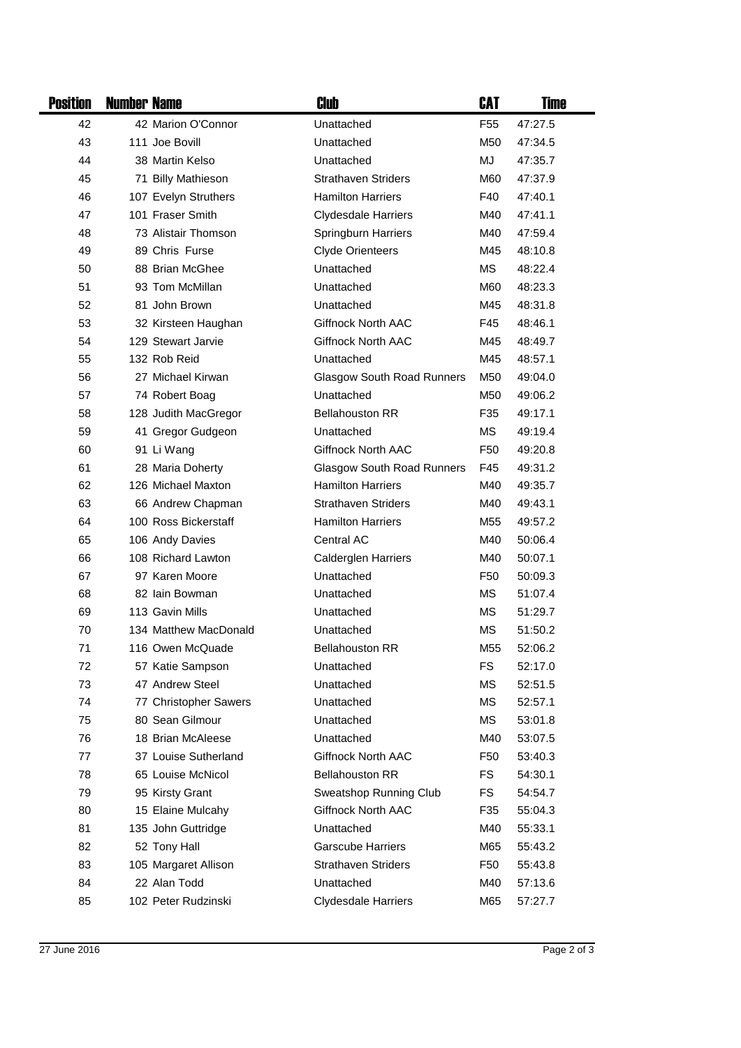| <b>Position</b> | <b>Number Name</b> |                                      | Club                              | CAT             | <b>Time</b> |
|-----------------|--------------------|--------------------------------------|-----------------------------------|-----------------|-------------|
| 42              |                    | 42 Marion O'Connor                   | Unattached                        | F <sub>55</sub> | 47:27.5     |
| 43              |                    | 111 Joe Bovill                       | Unattached                        | M50             | 47:34.5     |
| 44              |                    | 38 Martin Kelso                      | Unattached                        | MJ              | 47:35.7     |
| 45              |                    | 71 Billy Mathieson                   | <b>Strathaven Striders</b>        | M60             | 47:37.9     |
| 46              |                    | 107 Evelyn Struthers                 | <b>Hamilton Harriers</b>          | F40             | 47:40.1     |
| 47              |                    | 101 Fraser Smith                     | <b>Clydesdale Harriers</b>        | M40             | 47:41.1     |
| 48              |                    | 73 Alistair Thomson                  | Springburn Harriers               | M40             | 47:59.4     |
| 49              |                    | 89 Chris Furse                       | <b>Clyde Orienteers</b>           | M45             | 48:10.8     |
| 50              |                    | 88 Brian McGhee                      | Unattached                        | MS              | 48:22.4     |
| 51              |                    | 93 Tom McMillan                      | Unattached                        | M60             | 48:23.3     |
| 52              |                    | 81 John Brown                        | Unattached                        | M45             | 48:31.8     |
| 53              |                    | 32 Kirsteen Haughan                  | Giffnock North AAC                | F45             | 48:46.1     |
| 54              |                    | 129 Stewart Jarvie                   | <b>Giffnock North AAC</b>         | M45             | 48:49.7     |
| 55              |                    | 132 Rob Reid                         | Unattached                        | M45             | 48:57.1     |
| 56              |                    | 27 Michael Kirwan                    | <b>Glasgow South Road Runners</b> | M50             | 49:04.0     |
| 57              |                    | 74 Robert Boag                       | Unattached                        | M50             | 49:06.2     |
| 58              |                    | 128 Judith MacGregor                 | <b>Bellahouston RR</b>            | F35             | 49:17.1     |
| 59              |                    | 41 Gregor Gudgeon                    | Unattached                        | МS              | 49:19.4     |
| 60              |                    | 91 Li Wang                           | <b>Giffnock North AAC</b>         | F <sub>50</sub> | 49:20.8     |
| 61              |                    | 28 Maria Doherty                     | <b>Glasgow South Road Runners</b> | F45             | 49:31.2     |
| 62              |                    | 126 Michael Maxton                   | <b>Hamilton Harriers</b>          | M40             | 49:35.7     |
| 63              |                    | 66 Andrew Chapman                    | <b>Strathaven Striders</b>        | M40             | 49:43.1     |
| 64              |                    | 100 Ross Bickerstaff                 | <b>Hamilton Harriers</b>          | M55             | 49:57.2     |
| 65              |                    | 106 Andy Davies                      | Central AC                        | M40             | 50:06.4     |
| 66              |                    | 108 Richard Lawton                   | Calderglen Harriers               | M40             | 50:07.1     |
| 67              |                    | 97 Karen Moore                       | Unattached                        | F <sub>50</sub> | 50:09.3     |
| 68              |                    | 82 Iain Bowman                       | Unattached                        | <b>MS</b>       | 51:07.4     |
| 69              |                    | 113 Gavin Mills                      | Unattached                        | <b>MS</b>       | 51:29.7     |
| 70              |                    | 134 Matthew MacDonald                | Unattached                        | <b>MS</b>       | 51:50.2     |
| 71              |                    | 116 Owen McQuade                     | <b>Bellahouston RR</b>            | M <sub>55</sub> | 52:06.2     |
| 72              |                    | 57 Katie Sampson                     | Unattached                        | FS              | 52:17.0     |
| 73              |                    | 47 Andrew Steel                      | Unattached                        | <b>MS</b>       | 52:51.5     |
| 74              |                    | 77 Christopher Sawers                | Unattached                        | <b>MS</b>       | 52:57.1     |
| 75              |                    | 80 Sean Gilmour                      | Unattached                        | <b>MS</b>       | 53:01.8     |
| 76              |                    | 18 Brian McAleese                    | Unattached                        | M40             | 53:07.5     |
| 77              |                    | 37 Louise Sutherland                 | Giffnock North AAC                | F50             | 53:40.3     |
| 78              |                    | 65 Louise McNicol                    | <b>Bellahouston RR</b>            | FS              | 54:30.1     |
| 79              |                    | 95 Kirsty Grant                      | Sweatshop Running Club            | FS              | 54:54.7     |
| 80              |                    | 15 Elaine Mulcahy                    | Giffnock North AAC                | F35             | 55:04.3     |
| 81              |                    | 135 John Guttridge                   | Unattached                        | M40             | 55:33.1     |
| 82              |                    | 52 Tony Hall                         | <b>Garscube Harriers</b>          | M65             | 55:43.2     |
| 83              |                    | 105 Margaret Allison<br>22 Alan Todd | <b>Strathaven Striders</b>        | F50             | 55:43.8     |
| 84<br>85        |                    | 102 Peter Rudzinski                  | Unattached                        | M40             | 57:13.6     |
|                 |                    |                                      | <b>Clydesdale Harriers</b>        | M65             | 57:27.7     |